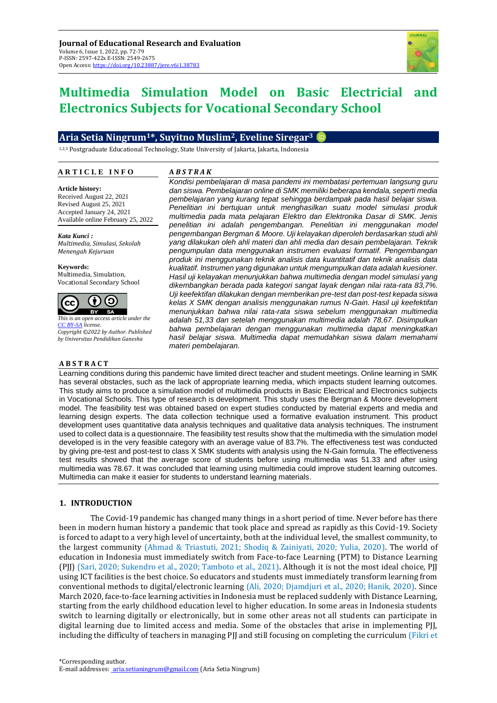

# **Multimedia Simulation Model on Basic Electricial and Electronics Subjects for Vocational Secondary School**

## **Aria Setia Ningrum1\*, Suyitno Muslim2, Eveline Siregar<sup>3</sup>**

1,2,3 Postgraduate Educational Technology, State University of Jakarta, Jakarta, Indonesia

#### **A R T I C L E I N F O**

#### **A** *B S T R A K*

**Article history:** Received August 22, 2021 Revised August 25, 2021 Accepted January 24, 2021 Available online February 25, 2022

*Kata Kunci : Multimedia, Simulasi, Sekolah Menengah Kejuruan*

**Keywords:** Multimedia, Simulation, Vocational Secondary School



*This is an open access article under the [CC BY-SA](https://creativecommons.org/licenses/by-sa/4.0/) license. Copyright ©2022 by Author. Published by Universitas Pendidikan Ganesha*

#### **A B S T R A C T**

*Kondisi pembelajaran di masa pandemi ini membatasi pertemuan langsung guru dan siswa. Pembelajaran online di SMK memiliki beberapa kendala, seperti media pembelajaran yang kurang tepat sehingga berdampak pada hasil belajar siswa. Penelitian ini bertujuan untuk menghasilkan suatu model simulasi produk multimedia pada mata pelajaran Elektro dan Elektronika Dasar di SMK. Jenis penelitian ini adalah pengembangan. Penelitian ini menggunakan model pengembangan Bergman & Moore. Uji kelayakan diperoleh berdasarkan studi ahli yang dilakukan oleh ahli materi dan ahli media dan desain pembelajaran. Teknik pengumpulan data menggunakan instrumen evaluasi formatif. Pengembangan produk ini menggunakan teknik analisis data kuantitatif dan teknik analisis data kualitatif. Instrumen yang digunakan untuk mengumpulkan data adalah kuesioner. Hasil uji kelayakan menunjukkan bahwa multimedia dengan model simulasi yang dikembangkan berada pada kategori sangat layak dengan nilai rata-rata 83,7%. Uji keefektifan dilakukan dengan memberikan pre-test dan post-test kepada siswa kelas X SMK dengan analisis menggunakan rumus N-Gain. Hasil uji keefektifan menunjukkan bahwa nilai rata-rata siswa sebelum menggunakan multimedia adalah 51,33 dan setelah menggunakan multimedia adalah 78,67. Disimpulkan bahwa pembelajaran dengan menggunakan multimedia dapat meningkatkan hasil belajar siswa. Multimedia dapat memudahkan siswa dalam memahami materi pembelajaran.*

Learning conditions during this pandemic have limited direct teacher and student meetings. Online learning in SMK has several obstacles, such as the lack of appropriate learning media, which impacts student learning outcomes. This study aims to produce a simulation model of multimedia products in Basic Electrical and Electronics subjects in Vocational Schools. This type of research is development. This study uses the Bergman & Moore development model. The feasibility test was obtained based on expert studies conducted by material experts and media and learning design experts. The data collection technique used a formative evaluation instrument. This product development uses quantitative data analysis techniques and qualitative data analysis techniques. The instrument used to collect data is a questionnaire. The feasibility test results show that the multimedia with the simulation model developed is in the very feasible category with an average value of 83.7%. The effectiveness test was conducted by giving pre-test and post-test to class X SMK students with analysis using the N-Gain formula. The effectiveness test results showed that the average score of students before using multimedia was 51.33 and after using multimedia was 78.67. It was concluded that learning using multimedia could improve student learning outcomes. Multimedia can make it easier for students to understand learning materials.

## **1. INTRODUCTION**

The Covid-19 pandemic has changed many things in a short period of time. Never before has there been in modern human history a pandemic that took place and spread as rapidly as this Covid-19. Society is forced to adapt to a very high level of uncertainty, both at the individual level, the smallest community, to the largest community (Ahmad & Triastuti, 2021; Shodiq & Zainiyati, 2020; Yulia, 2020). The world of education in Indonesia must immediately switch from Face-to-face Learning (PTM) to Distance Learning (PJJ) (Sari, 2020; Sukendro et al., 2020; Tamboto et al., 2021). Although it is not the most ideal choice, PJJ using ICT facilities is the best choice. So educators and students must immediately transform learning from conventional methods to digital/electronic learning (Ali, 2020; Djamdjuri et al., 2020; Hanik, 2020). Since March 2020, face-to-face learning activities in Indonesia must be replaced suddenly with Distance Learning, starting from the early childhood education level to higher education. In some areas in Indonesia students switch to learning digitally or electronically, but in some other areas not all students can participate in digital learning due to limited access and media. Some of the obstacles that arise in implementing PJJ, including the difficulty of teachers in managing PJJ and still focusing on completing the curriculum (Fikri et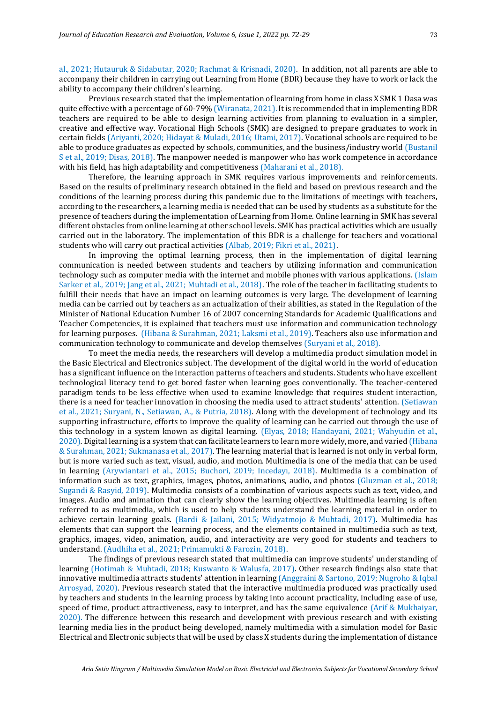al., 2021; Hutauruk & Sidabutar, 2020; Rachmat & Krisnadi, 2020). In addition, not all parents are able to accompany their children in carrying out Learning from Home (BDR) because they have to work or lack the ability to accompany their children's learning.

Previous research stated that the implementation of learning from home in class X SMK 1 Dasa was quite effective with a percentage of 60-79% (Wiranata, 2021). It is recommended that in implementing BDR teachers are required to be able to design learning activities from planning to evaluation in a simpler, creative and effective way. Vocational High Schools (SMK) are designed to prepare graduates to work in certain fields (Ariyanti, 2020; Hidayat & Muladi, 2016; Utami, 2017). Vocational schools are required to be able to produce graduates as expected by schools, communities, and the business/industry world (Bustanil S et al., 2019; Disas, 2018). The manpower needed is manpower who has work competence in accordance with his field, has high adaptability and competitiveness (Maharani et al., 2018).

Therefore, the learning approach in SMK requires various improvements and reinforcements. Based on the results of preliminary research obtained in the field and based on previous research and the conditions of the learning process during this pandemic due to the limitations of meetings with teachers, according to the researchers, a learning media is needed that can be used by students as a substitute for the presence of teachers during the implementation of Learning from Home. Online learning in SMK has several different obstacles from online learning at other school levels. SMK has practical activities which are usually carried out in the laboratory. The implementation of this BDR is a challenge for teachers and vocational students who will carry out practical activities (Albab, 2019; Fikri et al., 2021).

In improving the optimal learning process, then in the implementation of digital learning communication is needed between students and teachers by utilizing information and communication technology such as computer media with the internet and mobile phones with various applications. (Islam Sarker et al., 2019; Jang et al., 2021; Muhtadi et al., 2018). The role of the teacher in facilitating students to fulfill their needs that have an impact on learning outcomes is very large. The development of learning media can be carried out by teachers as an actualization of their abilities, as stated in the Regulation of the Minister of National Education Number 16 of 2007 concerning Standards for Academic Qualifications and Teacher Competencies, it is explained that teachers must use information and communication technology for learning purposes. (Hibana & Surahman, 2021; Laksmi et al., 2019). Teachers also use information and communication technology to communicate and develop themselves (Suryani et al., 2018).

To meet the media needs, the researchers will develop a multimedia product simulation model in the Basic Electrical and Electronics subject. The development of the digital world in the world of education has a significant influence on the interaction patterns of teachers and students. Students who have excellent technological literacy tend to get bored faster when learning goes conventionally. The teacher-centered paradigm tends to be less effective when used to examine knowledge that requires student interaction, there is a need for teacher innovation in choosing the media used to attract students' attention. (Setiawan et al., 2021; Suryani, N., Setiawan, A., & Putria, 2018). Along with the development of technology and its supporting infrastructure, efforts to improve the quality of learning can be carried out through the use of this technology in a system known as digital learning. (Elyas, 2018; Handayani, 2021; Wahyudin et al., 2020)*.* Digital learning is a system that can facilitate learners to learn more widely, more, and varied (Hibana & Surahman, 2021; Sukmanasa et al., 2017). The learning material that is learned is not only in verbal form, but is more varied such as text, visual, audio, and motion. Multimedia is one of the media that can be used in learning (Arywiantari et al., 2015; Buchori, 2019; Incedayı, 2018). Multimedia is a combination of information such as text, graphics, images, photos, animations, audio, and photos (Gluzman et al., 2018; Sugandi & Rasyid, 2019). Multimedia consists of a combination of various aspects such as text, video, and images. Audio and animation that can clearly show the learning objectives. Multimedia learning is often referred to as multimedia, which is used to help students understand the learning material in order to achieve certain learning goals. (Bardi & Jailani, 2015; Widyatmojo & Muhtadi, 2017). Multimedia has elements that can support the learning process, and the elements contained in multimedia such as text, graphics, images, video, animation, audio, and interactivity are very good for students and teachers to understand. (Audhiha et al., 2021; Primamukti & Farozin, 2018).

The findings of previous research stated that multimedia can improve students' understanding of learning (Hotimah & Muhtadi, 2018; Kuswanto & Walusfa, 2017). Other research findings also state that innovative multimedia attracts students' attention in learning (Anggraini & Sartono, 2019; Nugroho & Iqbal Arrosyad, 2020). Previous research stated that the interactive multimedia produced was practically used by teachers and students in the learning process by taking into account practicality, including ease of use, speed of time, product attractiveness, easy to interpret, and has the same equivalence (Arif & Mukhaiyar, 2020). The difference between this research and development with previous research and with existing learning media lies in the product being developed, namely multimedia with a simulation model for Basic Electrical and Electronic subjects that will be used by class X students during the implementation of distance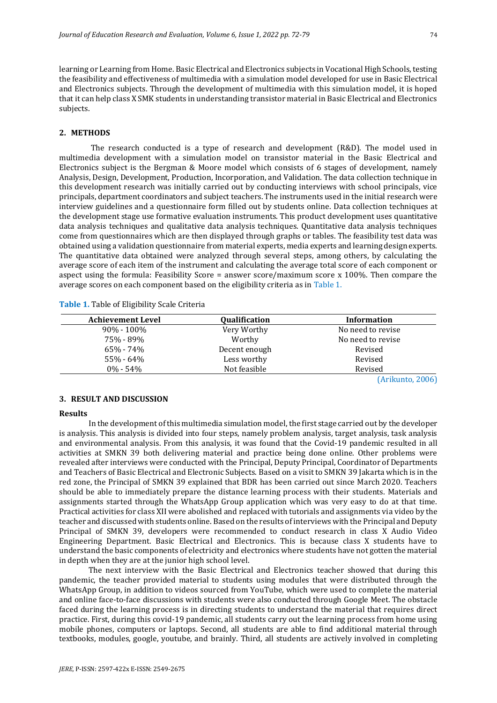learning or Learning from Home. Basic Electrical and Electronics subjects in Vocational High Schools, testing the feasibility and effectiveness of multimedia with a simulation model developed for use in Basic Electrical and Electronics subjects. Through the development of multimedia with this simulation model, it is hoped that it can help class X SMK students in understanding transistor material in Basic Electrical and Electronics subjects.

#### **2. METHODS**

The research conducted is a type of research and development (R&D). The model used in multimedia development with a simulation model on transistor material in the Basic Electrical and Electronics subject is the Bergman & Moore model which consists of 6 stages of development, namely Analysis, Design, Development, Production, Incorporation, and Validation. The data collection technique in this development research was initially carried out by conducting interviews with school principals, vice principals, department coordinators and subject teachers. The instruments used in the initial research were interview guidelines and a questionnaire form filled out by students online. Data collection techniques at the development stage use formative evaluation instruments. This product development uses quantitative data analysis techniques and qualitative data analysis techniques. Quantitative data analysis techniques come from questionnaires which are then displayed through graphs or tables. The feasibility test data was obtained using a validation questionnaire from material experts, media experts and learning design experts. The quantitative data obtained were analyzed through several steps, among others, by calculating the average score of each item of the instrument and calculating the average total score of each component or aspect using the formula: Feasibility Score = answer score/maximum score x 100%. Then compare the average scores on each component based on the eligibility criteria as in Table 1.

| <b>Achievement Level</b> | <b>Qualification</b> | Information       |
|--------------------------|----------------------|-------------------|
| $90\% - 100\%$           | Very Worthy          | No need to revise |
| 75% - 89%                | Worthy               | No need to revise |
| 65% - 74%                | Decent enough        | Revised           |
| 55% - 64%                | Less worthy          | Revised           |
| $0\% - 54\%$             | Not feasible         | Revised           |
|                          |                      | ____              |

**Table 1.** Table of Eligibility Scale Criteria

(Arikunto, 2006)

#### **3. RESULT AND DISCUSSION**

#### **Results**

In the development of this multimedia simulation model, the first stage carried out by the developer is analysis. This analysis is divided into four steps, namely problem analysis, target analysis, task analysis and environmental analysis. From this analysis, it was found that the Covid-19 pandemic resulted in all activities at SMKN 39 both delivering material and practice being done online. Other problems were revealed after interviews were conducted with the Principal, Deputy Principal, Coordinator of Departments and Teachers of Basic Electrical and Electronic Subjects. Based on a visit to SMKN 39 Jakarta which is in the red zone, the Principal of SMKN 39 explained that BDR has been carried out since March 2020. Teachers should be able to immediately prepare the distance learning process with their students. Materials and assignments started through the WhatsApp Group application which was very easy to do at that time. Practical activities for class XII were abolished and replaced with tutorials and assignments via video by the teacher and discussed with students online. Based on the results of interviews with the Principal and Deputy Principal of SMKN 39, developers were recommended to conduct research in class X Audio Video Engineering Department. Basic Electrical and Electronics. This is because class X students have to understand the basic components of electricity and electronics where students have not gotten the material in depth when they are at the junior high school level.

The next interview with the Basic Electrical and Electronics teacher showed that during this pandemic, the teacher provided material to students using modules that were distributed through the WhatsApp Group, in addition to videos sourced from YouTube, which were used to complete the material and online face-to-face discussions with students were also conducted through Google Meet. The obstacle faced during the learning process is in directing students to understand the material that requires direct practice. First, during this covid-19 pandemic, all students carry out the learning process from home using mobile phones, computers or laptops. Second, all students are able to find additional material through textbooks, modules, google, youtube, and brainly. Third, all students are actively involved in completing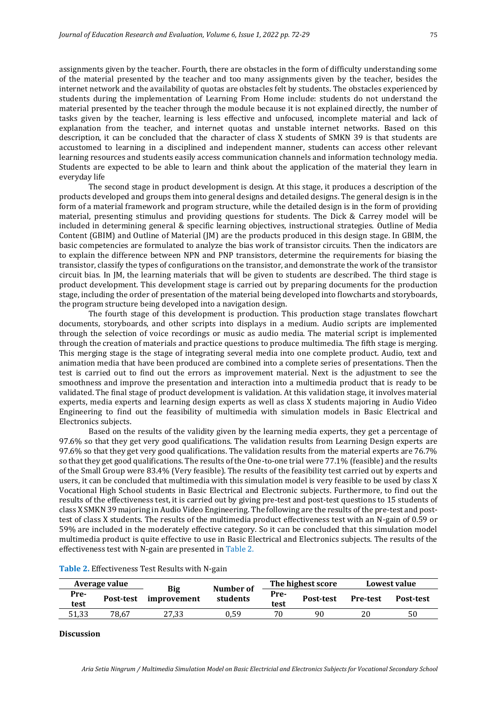assignments given by the teacher. Fourth, there are obstacles in the form of difficulty understanding some of the material presented by the teacher and too many assignments given by the teacher, besides the internet network and the availability of quotas are obstacles felt by students. The obstacles experienced by students during the implementation of Learning From Home include: students do not understand the material presented by the teacher through the module because it is not explained directly, the number of tasks given by the teacher, learning is less effective and unfocused, incomplete material and lack of explanation from the teacher, and internet quotas and unstable internet networks. Based on this description, it can be concluded that the character of class X students of SMKN 39 is that students are accustomed to learning in a disciplined and independent manner, students can access other relevant learning resources and students easily access communication channels and information technology media. Students are expected to be able to learn and think about the application of the material they learn in everyday life

The second stage in product development is design. At this stage, it produces a description of the products developed and groups them into general designs and detailed designs. The general design is in the form of a material framework and program structure, while the detailed design is in the form of providing material, presenting stimulus and providing questions for students. The Dick & Carrey model will be included in determining general & specific learning objectives, instructional strategies. Outline of Media Content (GBIM) and Outline of Material (JM) are the products produced in this design stage. In GBIM, the basic competencies are formulated to analyze the bias work of transistor circuits. Then the indicators are to explain the difference between NPN and PNP transistors, determine the requirements for biasing the transistor, classify the types of configurations on the transistor, and demonstrate the work of the transistor circuit bias. In JM, the learning materials that will be given to students are described. The third stage is product development. This development stage is carried out by preparing documents for the production stage, including the order of presentation of the material being developed into flowcharts and storyboards, the program structure being developed into a navigation design.

The fourth stage of this development is production. This production stage translates flowchart documents, storyboards, and other scripts into displays in a medium. Audio scripts are implemented through the selection of voice recordings or music as audio media. The material script is implemented through the creation of materials and practice questions to produce multimedia. The fifth stage is merging. This merging stage is the stage of integrating several media into one complete product. Audio, text and animation media that have been produced are combined into a complete series of presentations. Then the test is carried out to find out the errors as improvement material. Next is the adjustment to see the smoothness and improve the presentation and interaction into a multimedia product that is ready to be validated. The final stage of product development is validation. At this validation stage, it involves material experts, media experts and learning design experts as well as class X students majoring in Audio Video Engineering to find out the feasibility of multimedia with simulation models in Basic Electrical and Electronics subjects.

Based on the results of the validity given by the learning media experts, they get a percentage of 97.6% so that they get very good qualifications. The validation results from Learning Design experts are 97.6% so that they get very good qualifications. The validation results from the material experts are 76.7% so that they get good qualifications. The results of the One-to-one trial were 77.1% (feasible) and the results of the Small Group were 83.4% (Very feasible). The results of the feasibility test carried out by experts and users, it can be concluded that multimedia with this simulation model is very feasible to be used by class X Vocational High School students in Basic Electrical and Electronic subjects. Furthermore, to find out the results of the effectiveness test, it is carried out by giving pre-test and post-test questions to 15 students of class X SMKN 39 majoring in Audio Video Engineering. The following are the results of the pre-test and posttest of class X students. The results of the multimedia product effectiveness test with an N-gain of 0.59 or 59% are included in the moderately effective category. So it can be concluded that this simulation model multimedia product is quite effective to use in Basic Electrical and Electronics subjects. The results of the effectiveness test with N-gain are presented in Table 2.

|       | Average value | Big<br>improvement | Number of<br>students | The highest score |                  | Lowest value    |                  |
|-------|---------------|--------------------|-----------------------|-------------------|------------------|-----------------|------------------|
| Pre-  | Post-test     |                    |                       | Pre-              | <b>Post-test</b> | <b>Pre-test</b> | <b>Post-test</b> |
| test  |               |                    | test                  |                   |                  |                 |                  |
| 51,33 | 78.67         | 27.33              | 0.59                  | 70                | 90               |                 | 50               |
|       |               |                    |                       |                   |                  |                 |                  |

| Table 2. Effectiveness Test Results with N-gain |
|-------------------------------------------------|
|-------------------------------------------------|

### **Discussion**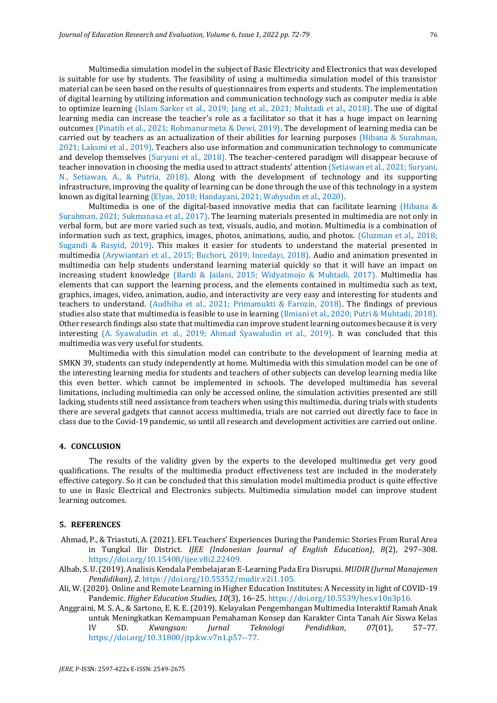Multimedia simulation model in the subject of Basic Electricity and Electronics that was developed is suitable for use by students. The feasibility of using a multimedia simulation model of this transistor material can be seen based on the results of questionnaires from experts and students. The implementation of digital learning by utilizing information and communication technology such as computer media is able to optimize learning (Islam Sarker et al., 2019; Jang et al., 2021; Muhtadi et al., 2018). The use of digital learning media can increase the teacher's role as a facilitator so that it has a huge impact on learning outcomes (Pinatih et al., 2021; Rohmanurmeta & Dewi, 2019). The development of learning media can be carried out by teachers as an actualization of their abilities for learning purposes (Hibana & Surahman, 2021; Laksmi et al., 2019). Teachers also use information and communication technology to communicate and develop themselves (Suryani et al., 2018). The teacher-centered paradigm will disappear because of teacher innovation in choosing the media used to attract students' attention (Setiawan et al., 2021; Suryani, N., Setiawan, A., & Putria, 2018). Along with the development of technology and its supporting infrastructure, improving the quality of learning can be done through the use of this technology in a system known as digital learning (Elyas, 2018; Handayani, 2021; Wahyudin et al., 2020)*.*

Multimedia is one of the digital-based innovative media that can facilitate learning (Hibana  $\&$ Surahman, 2021; Sukmanasa et al., 2017). The learning materials presented in multimedia are not only in verbal form, but are more varied such as text, visuals, audio, and motion. Multimedia is a combination of information such as text, graphics, images, photos, animations, audio, and photos. (Gluzman et al., 2018; Sugandi & Rasyid, 2019). This makes it easier for students to understand the material presented in multimedia (Arywiantari et al., 2015; Buchori, 2019; Incedayı, 2018). Audio and animation presented in multimedia can help students understand learning material quickly so that it will have an impact on increasing student knowledge (Bardi & Jailani, 2015; Widyatmojo & Muhtadi, 2017). Multimedia has elements that can support the learning process, and the elements contained in multimedia such as text, graphics, images, video, animation, audio, and interactivity are very easy and interesting for students and teachers to understand. (Audhiha et al., 2021; Primamukti & Farozin, 2018). The findings of previous studies also state that multimedia is feasible to use in learning (Ilmiani et al., 2020; Putri & Muhtadi, 2018). Other research findings also state that multimedia can improve student learning outcomes because it is very interesting (A. Syawaludin et al., 2019; Ahmad Syawaludin et al., 2019). It was concluded that this multimedia was very useful for students.

Multimedia with this simulation model can contribute to the development of learning media at SMKN 39, students can study independently at home. Multimedia with this simulation model can be one of the interesting learning media for students and teachers of other subjects can develop learning media like this even better. which cannot be implemented in schools. The developed multimedia has several limitations, including multimedia can only be accessed online, the simulation activities presented are still lacking, students still need assistance from teachers when using this multimedia, during trials with students there are several gadgets that cannot access multimedia, trials are not carried out directly face to face in class due to the Covid-19 pandemic, so until all research and development activities are carried out online.

#### **4. CONCLUSION**

The results of the validity given by the experts to the developed multimedia get very good qualifications. The results of the multimedia product effectiveness test are included in the moderately effective category. So it can be concluded that this simulation model multimedia product is quite effective to use in Basic Electrical and Electronics subjects. Multimedia simulation model can improve student learning outcomes.

#### **5. REFERENCES**

- Ahmad, P., & Triastuti, A. (2021). EFL Teachers' Experiences During the Pandemic: Stories From Rural Area in Tungkal Ilir District. *IJEE (Indonesian Journal of English Education)*, *8*(2), 297–308. https://doi.org/10.15408/ijee.v8i2.22409.
- Albab, S. U. (2019). Analisis Kendala Pembelajaran E-Learning Pada Era Disrupsi. *MUDIR (Jurnal Manajemen Pendidikan)*, *2*. https://doi.org/10.55352/mudir.v2i1.105.
- Ali, W. (2020). Online and Remote Learning in Higher Education Institutes: A Necessity in light of COVID-19 Pandemic. *Higher Education Studies*, *10*(3), 16–25. https://doi.org/10.5539/hes.v10n3p16.
- Anggraini, M. S. A., & Sartono, E. K. E. (2019). Kelayakan Pengembangan Multimedia Interaktif Ramah Anak untuk Meningkatkan Kemampuan Pemahaman Konsep dan Karakter Cinta Tanah Air Siswa Kelas IV SD. *Kwangsan: Jurnal Teknologi Pendidikan*, *07*(01), 57–77. https://doi.org/10.31800/jtp.kw.v7n1.p57--77.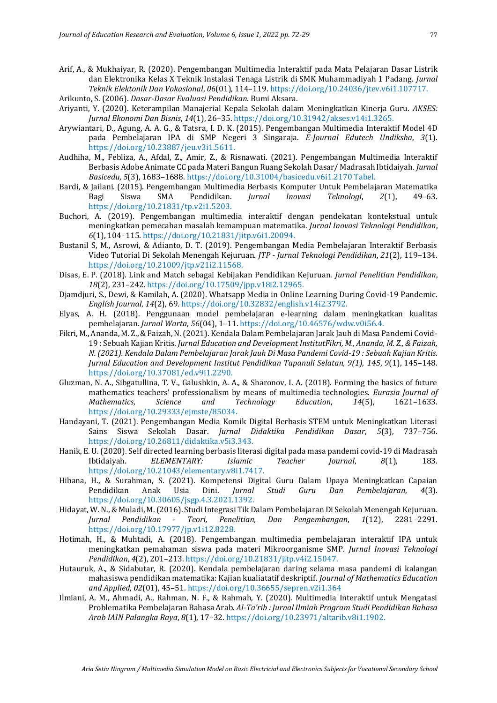Arif, A., & Mukhaiyar, R. (2020). Pengembangan Multimedia Interaktif pada Mata Pelajaran Dasar Listrik dan Elektronika Kelas X Teknik Instalasi Tenaga Listrik di SMK Muhammadiyah 1 Padang. *Jurnal Teknik Elektonik Dan Vokasional*, *06*(01), 114–119. https://doi.org/10.24036/jtev.v6i1.107717.

Arikunto, S. (2006). *Dasar-Dasar Evaluasi Pendidikan*. Bumi Aksara.

- Ariyanti, Y. (2020). Keterampilan Manajerial Kepala Sekolah dalam Meningkatkan Kinerja Guru. *AKSES: Jurnal Ekonomi Dan Bisnis*, *14*(1), 26–35. https://doi.org/10.31942/akses.v14i1.3265.
- Arywiantari, D., Agung, A. A. G., & Tatsra, I. D. K. (2015). Pengembangan Multimedia Interaktif Model 4D pada Pembelajaran IPA di SMP Negeri 3 Singaraja. *E-Journal Edutech Undiksha*, *3*(1). https://doi.org/10.23887/jeu.v3i1.5611.
- Audhiha, M., Febliza, A., Afdal, Z., Amir, Z., & Risnawati. (2021). Pengembangan Multimedia Interaktif Berbasis Adobe Animate CC pada Materi Bangun Ruang Sekolah Dasar/ Madrasah Ibtidaiyah. *Jurnal Basicedu*, *5*(3), 1683–1688. https://doi.org/10.31004/basicedu.v6i1.2170 Tabel.
- Bardi, & Jailani. (2015). Pengembangan Multimedia Berbasis Komputer Untuk Pembelajaran Matematika Bagi Siswa SMA Pendidikan. *Jurnal Inovasi Teknologi*, *2*(1), 49–63. https://doi.org/10.21831/tp.v2i1.5203.
- Buchori, A. (2019). Pengembangan multimedia interaktif dengan pendekatan kontekstual untuk meningkatkan pemecahan masalah kemampuan matematika. *Jurnal Inovasi Teknologi Pendidikan*, *6*(1), 104–115. https://doi.org/10.21831/jitp.v6i1.20094.
- Bustanil S, M., Asrowi, & Adianto, D. T. (2019). Pengembangan Media Pembelajaran Interaktif Berbasis Video Tutorial Di Sekolah Menengah Kejuruan. *JTP - Jurnal Teknologi Pendidikan*, *21*(2), 119–134. https://doi.org/10.21009/jtp.v21i2.11568.
- Disas, E. P. (2018). Link and Match sebagai Kebijakan Pendidikan Kejuruan. *Jurnal Penelitian Pendidikan*, *18*(2), 231–242. https://doi.org/10.17509/jpp.v18i2.12965.
- Djamdjuri, S., Dewi, & Kamilah, A. (2020). Whatsapp Media in Online Learning During Covid-19 Pandemic. *English Journal*, *14*(2), 69. https://doi.org/10.32832/english.v14i2.3792.
- Elyas, A. H. (2018). Penggunaan model pembelajaran e-learning dalam meningkatkan kualitas pembelajaran. *Jurnal Warta*, *56*(04), 1–11. https://doi.org/10.46576/wdw.v0i56.4.
- Fikri, M., Ananda, M. Z., & Faizah, N. (2021). Kendala Dalam Pembelajaran Jarak Jauh di Masa Pandemi Covid-19 : Sebuah Kajian Kritis. *Jurnal Education and Development InstitutFikri, M., Ananda, M. Z., & Faizah, N. (2021). Kendala Dalam Pembelajaran Jarak Jauh Di Masa Pandemi Covid-19 : Sebuah Kajian Kritis. Jurnal Education and Development Institut Pendidikan Tapanuli Selatan, 9(1), 145*, *9*(1), 145–148. https://doi.org/10.37081/ed.v9i1.2290.
- Gluzman, N. A., Sibgatullina, T. V., Galushkin, A. A., & Sharonov, I. A. (2018). Forming the basics of future mathematics teachers' professionalism by means of multimedia technologies. *Eurasia Journal of Mathematics, Science and Technology Education*, *14*(5), 1621–1633. https://doi.org/10.29333/ejmste/85034.
- Handayani, T. (2021). Pengembangan Media Komik Digital Berbasis STEM untuk Meningkatkan Literasi Sains Siswa Sekolah Dasar. *Jurnal Didaktika Pendidikan Dasar*, *5*(3), 737–756. https://doi.org/10.26811/didaktika.v5i3.343.
- Hanik, E. U. (2020). Self directed learning berbasis literasi digital pada masa pandemi covid-19 di Madrasah Ibtidaiyah. *ELEMENTARY: Islamic Teacher Journal*, *8*(1), 183. https://doi.org/10.21043/elementary.v8i1.7417.
- Hibana, H., & Surahman, S. (2021). Kompetensi Digital Guru Dalam Upaya Meningkatkan Capaian Pendidikan Anak Usia Dini. *Jurnal Studi Guru Dan Pembelajaran*, *4*(3). https://doi.org/10.30605/jsgp.4.3.2021.1392.
- Hidayat, W. N., & Muladi, M. (2016). Studi Integrasi Tik Dalam Pembelajaran Di Sekolah Menengah Kejuruan. *Jurnal Pendidikan - Teori, Penelitian, Dan Pengembangan*, *1*(12), 2281–2291. https://doi.org/10.17977/jp.v1i12.8228.
- Hotimah, H., & Muhtadi, A. (2018). Pengembangan multimedia pembelajaran interaktif IPA untuk meningkatkan pemahaman siswa pada materi Mikroorganisme SMP. *Jurnal Inovasi Teknologi Pendidikan*, *4*(2), 201–213. https://doi.org/10.21831/jitp.v4i2.15047.
- Hutauruk, A., & Sidabutar, R. (2020). Kendala pembelajaran daring selama masa pandemi di kalangan mahasiswa pendidikan matematika: Kajian kualiatatif deskriptif. *Journal of Mathematics Education and Applied*, *02*(01), 45–51. https://doi.org/10.36655/sepren.v2i1.364
- Ilmiani, A. M., Ahmadi, A., Rahman, N. F., & Rahmah, Y. (2020). Multimedia Interaktif untuk Mengatasi Problematika Pembelajaran Bahasa Arab. *Al-Ta'rib : Jurnal Ilmiah Program Studi Pendidikan Bahasa Arab IAIN Palangka Raya*, *8*(1), 17–32. https://doi.org/10.23971/altarib.v8i1.1902.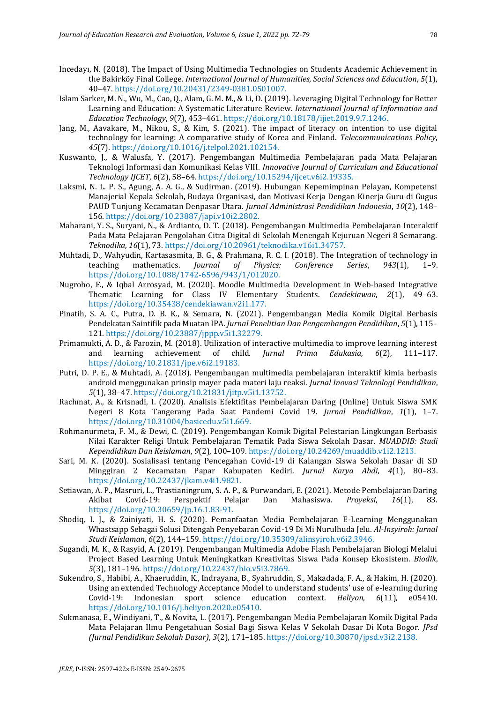- Incedayı, N. (2018). The Impact of Using Multimedia Technologies on Students Academic Achievement in the Bakirköy Final College. *International Journal of Humanities, Social Sciences and Education*, *5*(1), 40–47. https://doi.org/10.20431/2349-0381.0501007.
- Islam Sarker, M. N., Wu, M., Cao, Q., Alam, G. M. M., & Li, D. (2019). Leveraging Digital Technology for Better Learning and Education: A Systematic Literature Review. *International Journal of Information and Education Technology*, *9*(7), 453–461. https://doi.org/10.18178/ijiet.2019.9.7.1246.
- Jang, M., Aavakare, M., Nikou, S., & Kim, S. (2021). The impact of literacy on intention to use digital technology for learning: A comparative study of Korea and Finland. *Telecommunications Policy*, *45*(7). https://doi.org/10.1016/j.telpol.2021.102154.
- Kuswanto, J., & Walusfa, Y. (2017). Pengembangan Multimedia Pembelajaran pada Mata Pelajaran Teknologi Informasi dan Komunikasi Kelas VIII. *Innovative Journal of Curriculum and Educational Technology IJCET*, *6*(2), 58–64. https://doi.org/10.15294/ijcet.v6i2.19335.
- Laksmi, N. L. P. S., Agung, A. A. G., & Sudirman. (2019). Hubungan Kepemimpinan Pelayan, Kompetensi Manajerial Kepala Sekolah, Budaya Organisasi, dan Motivasi Kerja Dengan Kinerja Guru di Gugus PAUD Tunjung Kecamatan Denpasar Utara. *Jurnal Administrasi Pendidikan Indonesia*, *10*(2), 148– 156. https://doi.org/10.23887/japi.v10i2.2802.
- Maharani, Y. S., Suryani, N., & Ardianto, D. T. (2018). Pengembangan Multimedia Pembelajaran Interaktif Pada Mata Pelajaran Pengolahan Citra Digital di Sekolah Menengah Kejuruan Negeri 8 Semarang. *Teknodika*, *16*(1), 73. https://doi.org/10.20961/teknodika.v16i1.34757.
- Muhtadi, D., Wahyudin, Kartasasmita, B. G., & Prahmana, R. C. I. (2018). The Integration of technology in teaching mathematics. *Journal of Physics: Conference Series*, *943*(1), 1–9. https://doi.org/10.1088/1742-6596/943/1/012020.
- Nugroho, F., & Iqbal Arrosyad, M. (2020). Moodle Multimedia Development in Web-based Integrative Thematic Learning for Class IV Elementary Students. *Cendekiawan*, *2*(1), 49–63. https://doi.org/10.35438/cendekiawan.v2i1.177.
- Pinatih, S. A. C., Putra, D. B. K., & Semara, N. (2021). Pengembangan Media Komik Digital Berbasis Pendekatan Saintifik pada Muatan IPA. *Jurnal Penelitian Dan Pengembangan Pendidikan*, *5*(1), 115– 121. https://doi.org/10.23887/jppp.v5i1.32279.
- Primamukti, A. D., & Farozin, M. (2018). Utilization of interactive multimedia to improve learning interest and learning achievement of child. *Jurnal Prima Edukasia*, *6*(2), 111–117. https://doi.org/10.21831/jpe.v6i2.19183.
- Putri, D. P. E., & Muhtadi, A. (2018). Pengembangan multimedia pembelajaran interaktif kimia berbasis android menggunakan prinsip mayer pada materi laju reaksi. *Jurnal Inovasi Teknologi Pendidikan*, *5*(1), 38–47. https://doi.org/10.21831/jitp.v5i1.13752.
- Rachmat, A., & Krisnadi, I. (2020). Analisis Efektifitas Pembelajaran Daring (Online) Untuk Siswa SMK Negeri 8 Kota Tangerang Pada Saat Pandemi Covid 19. *Jurnal Pendidikan*, *1*(1), 1–7. https://doi.org/10.31004/basicedu.v5i1.669.
- Rohmanurmeta, F. M., & Dewi, C. (2019). Pengembangan Komik Digital Pelestarian Lingkungan Berbasis Nilai Karakter Religi Untuk Pembelajaran Tematik Pada Siswa Sekolah Dasar. *MUADDIB: Studi Kependidikan Dan Keislaman*, *9*(2), 100–109. https://doi.org/10.24269/muaddib.v1i2.1213.
- Sari, M. K. (2020). Sosialisasi tentang Pencegahan Covid-19 di Kalangan Siswa Sekolah Dasar di SD Minggiran 2 Kecamatan Papar Kabupaten Kediri. *Jurnal Karya Abdi*, *4*(1), 80–83. https://doi.org/10.22437/jkam.v4i1.9821.
- Setiawan, A. P., Masruri, L., Trastianingrum, S. A. P., & Purwandari, E. (2021). Metode Pembelajaran Daring Akibat Covid-19: Perspektif Pelajar Dan Mahasiswa. *Proyeksi*, *16*(1), 83. https://doi.org/10.30659/jp.16.1.83-91.
- Shodiq, I. J., & Zainiyati, H. S. (2020). Pemanfaatan Media Pembelajaran E-Learning Menggunakan Whastsapp Sebagai Solusi Ditengah Penyebaran Covid-19 Di Mi Nurulhuda Jelu. *Al-Insyiroh: Jurnal Studi Keislaman*, *6*(2), 144–159. https://doi.org/10.35309/alinsyiroh.v6i2.3946.
- Sugandi, M. K., & Rasyid, A. (2019). Pengembangan Multimedia Adobe Flash Pembelajaran Biologi Melalui Project Based Learning Untuk Meningkatkan Kreativitas Siswa Pada Konsep Ekosistem. *Biodik*, *5*(3), 181–196. https://doi.org/10.22437/bio.v5i3.7869.
- Sukendro, S., Habibi, A., Khaeruddin, K., Indrayana, B., Syahruddin, S., Makadada, F. A., & Hakim, H. (2020). Using an extended Technology Acceptance Model to understand students' use of e-learning during Covid-19: Indonesian sport science education context. *Heliyon*, *6*(11), e05410. https://doi.org/10.1016/j.heliyon.2020.e05410.
- Sukmanasa, E., Windiyani, T., & Novita, L. (2017). Pengembangan Media Pembelajaran Komik Digital Pada Mata Pelajaran Ilmu Pengetahuan Sosial Bagi Siswa Kelas V Sekolah Dasar Di Kota Bogor. *JPsd (Jurnal Pendidikan Sekolah Dasar)*, *3*(2), 171–185. https://doi.org/10.30870/jpsd.v3i2.2138.